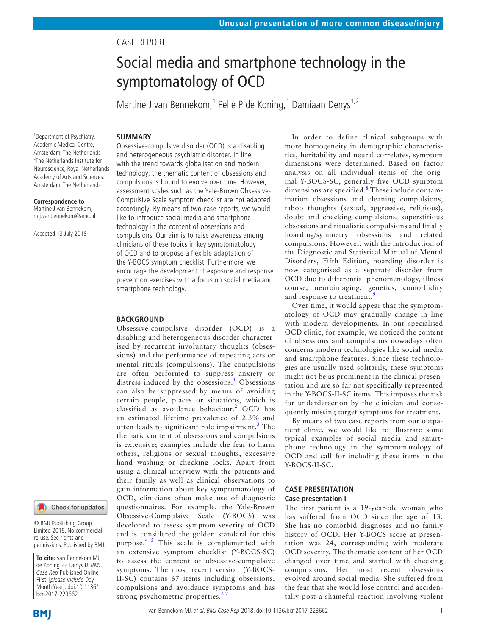## Case report

# Social media and smartphone technology in the symptomatology of OCD

Martine J van Bennekom,<sup>1</sup> Pelle P de Koning,<sup>1</sup> Damiaan Denys<sup>1,2</sup>

Obsessive-compulsive disorder (OCD) is a disabling and heterogeneous psychiatric disorder. In line with the trend towards globalisation and modern technology, the thematic content of obsessions and compulsions is bound to evolve over time. However, assessment scales such as the Yale-Brown Obsessive-Compulsive Scale symptom checklist are not adapted accordingly. By means of two case reports, we would like to introduce social media and smartphone technology in the content of obsessions and compulsions. Our aim is to raise awareness among clinicians of these topics in key symptomatology of OCD and to propose a flexible adaptation of the Y-BOCS symptom checklist. Furthermore, we encourage the development of exposure and response prevention exercises with a focus on social media and

Obsessive-compulsive disorder (OCD) is a disabling and heterogeneous disorder characterised by recurrent involuntary thoughts (obsessions) and the performance of repeating acts or mental rituals (compulsions). The compulsions are often performed to suppress anxiety or distress induced by the obsessions.<sup>[1](#page-2-0)</sup> Obsessions can also be suppressed by means of avoiding certain people, places or situations, which is classified as avoidance behaviour.[2](#page-2-1) OCD has an estimated lifetime prevalence of 2.3% and often leads to significant role impairment.<sup>[3](#page-2-2)</sup> The thematic content of obsessions and compulsions is extensive; examples include the fear to harm others, religious or sexual thoughts, excessive hand washing or checking locks. Apart from using a clinical interview with the patients and their family as well as clinical observations to gain information about key symptomatology of OCD, clinicians often make use of diagnostic questionnaires. For example, the Yale-Brown Obsessive-Compulsive Scale (Y-BOCS) was developed to assess symptom severity of OCD and is considered the golden standard for this purpose. $45$  This scale is complemented with an extensive symptom checklist (Y-BOCS-SC) to assess the content of obsessive-compulsive symptoms. The most recent version (Y-BOCS-II-SC) contains 67 items including obsessions, compulsions and avoidance symptoms and has

#### **Summary**

smartphone technology.

**Background** 

<sup>1</sup>Department of Psychiatry, Academic Medical Centre, Amsterdam, The Netherlands 2 The Netherlands Institute for Neuroscience, Royal Netherlands Academy of Arts and Sciences, Amsterdam, The Netherlands

#### **Correspondence to** Martine J van Bennekom, m.j.vanbennekom@amc.nl

Accepted 13 July 2018



© BMJ Publishing Group Limited 2018. No commercial re-use. See rights and permissions. Published by BMJ.

**To cite:** van Bennekom MJ, de Koning PP, Denys D. BMJ Case Rep Published Online First: [please include Day Month Year]. doi:10.1136/ bcr-2017-223662

**BMI** 

strong psychometric properties.<sup>6</sup>

tics, heritability and neural correlates, symptom dimensions were determined. Based on factor analysis on all individual items of the original Y-BOCS-SC, generally five OCD symptom dimensions are specified.<sup>[8](#page-2-5)</sup> These include contamination obsessions and cleaning compulsions, taboo thoughts (sexual, aggressive, religious), doubt and checking compulsions, superstitious obsessions and ritualistic compulsions and finally hoarding/symmetry obsessions and related compulsions. However, with the introduction of the Diagnostic and Statistical Manual of Mental Disorders, Fifth Edition, hoarding disorder is now categorised as a separate disorder from OCD due to differential phenomenology, illness course, neuroimaging, genetics, comorbidity and response to treatment.<sup>[9](#page-2-6)</sup>

In order to define clinical subgroups with more homogeneity in demographic characteris-

Over time, it would appear that the symptomatology of OCD may gradually change in line with modern developments. In our specialised OCD clinic, for example, we noticed the content of obsessions and compulsions nowadays often concerns modern technologies like social media and smartphone features. Since these technologies are usually used solitarily, these symptoms might not be as prominent in the clinical presentation and are so far not specifically represented in the Y-BOCS-II-SC items. This imposes the risk for underdetection by the clinician and consequently missing target symptoms for treatment.

By means of two case reports from our outpatient clinic, we would like to illustrate some typical examples of social media and smartphone technology in the symptomatology of OCD and call for including these items in the Y-BOCS-II-SC.

### **Case presentation Case presentation I**

The first patient is a 19-year-old woman who has suffered from OCD since the age of 13. She has no comorbid diagnoses and no family history of OCD. Her Y-BOCS score at presentation was 24, corresponding with moderate OCD severity. The thematic content of her OCD changed over time and started with checking compulsions. Her most recent obsessions evolved around social media. She suffered from the fear that she would lose control and accidentally post a shameful reaction involving violent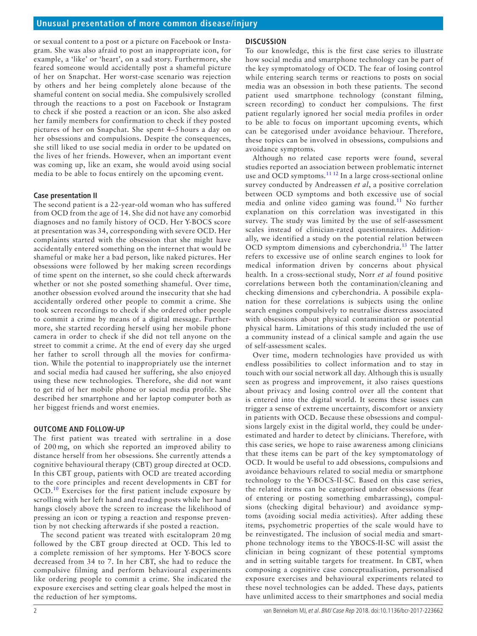or sexual content to a post or a picture on Facebook or Instagram. She was also afraid to post an inappropriate icon, for example, a 'like' or 'heart', on a sad story. Furthermore, she feared someone would accidentally post a shameful picture of her on Snapchat. Her worst-case scenario was rejection by others and her being completely alone because of the shameful content on social media. She compulsively scrolled through the reactions to a post on Facebook or Instagram to check if she posted a reaction or an icon. She also asked her family members for confirmation to check if they posted pictures of her on Snapchat. She spent 4–5 hours a day on her obsessions and compulsions. Despite the consequences, she still liked to use social media in order to be updated on the lives of her friends. However, when an important event was coming up, like an exam, she would avoid using social media to be able to focus entirely on the upcoming event.

#### **Case presentation II**

The second patient is a 22-year-old woman who has suffered from OCD from the age of 14. She did not have any comorbid diagnoses and no family history of OCD. Her Y-BOCS score at presentation was 34, corresponding with severe OCD. Her complaints started with the obsession that she might have accidentally entered something on the internet that would be shameful or make her a bad person, like naked pictures. Her obsessions were followed by her making screen recordings of time spent on the internet, so she could check afterwards whether or not she posted something shameful. Over time, another obsession evolved around the insecurity that she had accidentally ordered other people to commit a crime. She took screen recordings to check if she ordered other people to commit a crime by means of a digital message. Furthermore, she started recording herself using her mobile phone camera in order to check if she did not tell anyone on the street to commit a crime. At the end of every day she urged her father to scroll through all the movies for confirmation. While the potential to inappropriately use the internet and social media had caused her suffering, she also enjoyed using these new technologies. Therefore, she did not want to get rid of her mobile phone or social media profile. She described her smartphone and her laptop computer both as her biggest friends and worst enemies.

### **Outcome and follow-up**

The first patient was treated with sertraline in a dose of 200 mg, on which she reported an improved ability to distance herself from her obsessions. She currently attends a cognitive behavioural therapy (CBT) group directed at OCD. In this CBT group, patients with OCD are treated according to the core principles and recent developments in CBT for OCD.[10](#page-2-7) Exercises for the first patient include exposure by scrolling with her left hand and reading posts while her hand hangs closely above the screen to increase the likelihood of pressing an icon or typing a reaction and response prevention by not checking afterwards if she posted a reaction.

The second patient was treated with escitalopram 20 mg followed by the CBT group directed at OCD. This led to a complete remission of her symptoms. Her Y-BOCS score decreased from 34 to 7. In her CBT, she had to reduce the compulsive filming and perform behavioural experiments like ordering people to commit a crime. She indicated the exposure exercises and setting clear goals helped the most in the reduction of her symptoms.

#### **Discussion**

To our knowledge, this is the first case series to illustrate how social media and smartphone technology can be part of the key symptomatology of OCD. The fear of losing control while entering search terms or reactions to posts on social media was an obsession in both these patients. The second patient used smartphone technology (constant filming, screen recording) to conduct her compulsions. The first patient regularly ignored her social media profiles in order to be able to focus on important upcoming events, which can be categorised under avoidance behaviour. Therefore, these topics can be involved in obsessions, compulsions and avoidance symptoms.

Although no related case reports were found, several studies reported an association between problematic internet use and OCD symptoms.<sup>11 12</sup> In a large cross-sectional online survey conducted by Andreassen *et al*, a positive correlation between OCD symptoms and both excessive use of social media and online video gaming was found.<sup>[11](#page-2-8)</sup> No further explanation on this correlation was investigated in this survey. The study was limited by the use of self-assessment scales instead of clinician-rated questionnaires. Additionally, we identified a study on the potential relation between OCD symptom dimensions and cyberchondria.<sup>13</sup> The latter refers to excessive use of online search engines to look for medical information driven by concerns about physical health. In a cross-sectional study, Norr *et al* found positive correlations between both the contamination/cleaning and checking dimensions and cyberchondria. A possibile explanation for these correlations is subjects using the online search engines compulsively to neutralise distress associated with obsessions about physical contamination or potential physical harm. Limitations of this study included the use of a community instead of a clinical sample and again the use of self-assessment scales.

Over time, modern technologies have provided us with endless possibilities to collect information and to stay in touch with our social network all day. Although this is usually seen as progress and improvement, it also raises questions about privacy and losing control over all the content that is entered into the digital world. It seems these issues can trigger a sense of extreme uncertainty, discomfort or anxiety in patients with OCD. Because these obsessions and compulsions largely exist in the digital world, they could be underestimated and harder to detect by clinicians. Therefore, with this case series, we hope to raise awareness among clinicians that these items can be part of the key symptomatology of OCD. It would be useful to add obsessions, compulsions and avoidance behaviours related to social media or smartphone technology to the Y-BOCS-II-SC. Based on this case series, the related items can be categorised under obsessions (fear of entering or posting something embarrassing), compulsions (checking digital behaviour) and avoidance symptoms (avoiding social media activities). After adding these items, psychometric properties of the scale would have to be reinvestigated. The inclusion of social media and smartphone technology items to the YBOCS-II-SC will assist the clinician in being cognizant of these potential symptoms and in setting suitable targets for treatment. In CBT, when composing a cognitive case conceptualisation, personalised exposure exercises and behavioural experiments related to these novel technologies can be added. These days, patients have unlimited access to their smartphones and social media